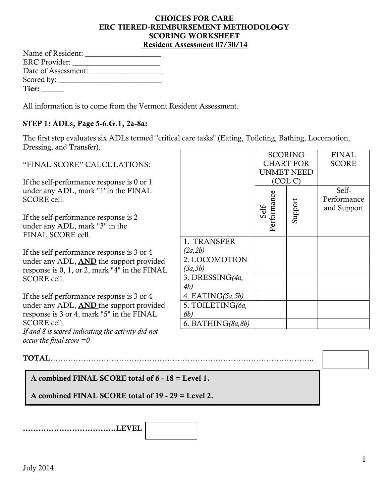#### **CHOICES FOR CARE ERC TIERED-REIMBURSEMENT METHODOLOGY SCORING WORKSHEET Resident Assessment 07/30/14**

| Name of Resident: _____ |  |
|-------------------------|--|
| ERC Provider:           |  |
|                         |  |
|                         |  |
| Tier:                   |  |

All information is to come from the Vermont Resident Assessment.

#### **STEP 1: ADLs, Page 5-6.G.1, 2a-8a:**

The first step evaluates six ADLs termed "critical care tasks" (Eating, Toileting, Bathing, Locomotion, Dressing, and Transfer).  $AL$ 

|                                                |                       |                      | <b>SCORING</b>   | <b>FINAL</b> |
|------------------------------------------------|-----------------------|----------------------|------------------|--------------|
| "FINAL SCORE" CALCULATIONS:                    |                       |                      | <b>CHART FOR</b> | <b>SCORE</b> |
|                                                |                       | <b>UNMET NEED</b>    |                  |              |
| If the self-performance response is 0 or 1     |                       |                      | (COL C)          |              |
| under any ADL, mark "1"in the FINAL            |                       |                      |                  | Self-        |
| SCORE cell.                                    |                       |                      |                  | Performance  |
|                                                |                       | Performance<br>Self- | Support          | and Support  |
| If the self-performance response is 2          |                       |                      |                  |              |
| under any ADL, mark "3" in the                 |                       |                      |                  |              |
| FINAL SCORE cell.                              |                       |                      |                  |              |
|                                                | 1. TRANSFER           |                      |                  |              |
| If the self-performance response is 3 or 4     | (2a, 2b)              |                      |                  |              |
| under any ADL, <b>AND</b> the support provided | 2. LOCOMOTION         |                      |                  |              |
| response is 0, 1, or 2, mark "4" in the FINAL  | (3a,3b)               |                      |                  |              |
| SCORE cell.                                    | 3. DRESSING(4a,       |                      |                  |              |
|                                                | 4 <i>b</i> )          |                      |                  |              |
| If the self-performance response is 3 or 4     | 4. EATING $(5a, 5b)$  |                      |                  |              |
| under any ADL, <b>AND</b> the support provided | 5. TOILETING(6a,      |                      |                  |              |
| response is 3 or 4, mark "5" in the FINAL      | 6b)                   |                      |                  |              |
| SCORE cell.                                    | 6. BATHING( $8a,8b$ ) |                      |                  |              |

*If and 8 is scored indicating the activity did not occur the final score =0*

**TOTAL**…………………………………………………………………………………………..

## **A combined FINAL SCORE total of 6 - 18 = Level 1.**

**A combined FINAL SCORE total of 19 - 29 = Level 2.** 

**………………………………LEVEL**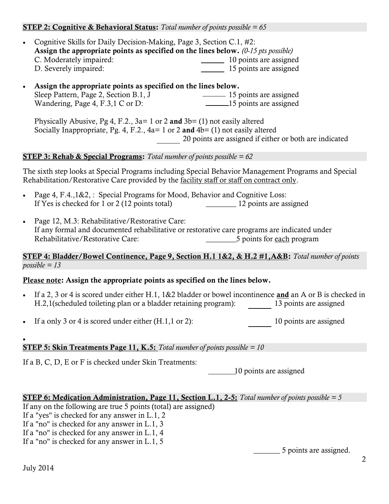#### **STEP 2: Cognitive & Behavioral Status:** *Total number of points possible = 65*

- Cognitive Skills for Daily Decision-Making, Page 3, Section C.1, #2: **Assign the appropriate points as specified on the lines below.** *(0-15 pts possible)* C. Moderately impaired: 10 points are assigned D. Severely impaired: 15 points are assigned
- **Assign the appropriate points as specified on the lines below.**  Sleep Pattern, Page 2, Section B.1, J 15 points are assigned Wandering, Page 4, F.3,1 C or D: 15 points are assigned

Physically Abusive, Pg 4, F.2., 3a= 1 or 2 and 3b= (1) not easily altered Socially Inappropriate, Pg. 4, F.2., 4a= 1 or 2 **and** 4b= (1) not easily altered 20 points are assigned if either or both are indicated

#### **STEP 3: Rehab & Special Programs:** *Total number of points possible = 62*

The sixth step looks at Special Programs including Special Behavior Management Programs and Special Rehabilitation/Restorative Care provided by the <u>facility staff or staff on contract only</u>.

- Page 4, F.4.,1&2, : Special Programs for Mood, Behavior and Cognitive Loss: If Yes is checked for 1 or 2 (12 points total) \_\_\_\_\_\_\_\_ 12 points are assigned
- Page 12, M.3: Rehabilitative/Restorative Care: If any formal and documented rehabilitative or restorative care programs are indicated under Rehabilitative/Restorative Care: 5 points for each program

### **STEP 4: Bladder/Bowel Continence, Page 9, Section H.1 1&2, & H.2 #1,A&B:** *Total number of points possible = 13*

#### **Please note: Assign the appropriate points as specified on the lines below.**

- If a 2, 3 or 4 is scored under either H.1, 1&2 bladder or bowel incontinence **and** an A or B is checked in H.2,1(scheduled toileting plan or a bladder retaining program): 13 points are assigned
- If a only 3 or 4 is scored under either (H.1,1 or 2): 10 points are assigned

#### **STEP 5: Skin Treatments Page 11, K.5:** *Total number of points possible = 10*

If a B, C, D, E or F is checked under Skin Treatments:

10 points are assigned

#### **STEP 6: Medication Administration, Page 11, Section L.1, 2-5:** *Total number of points possible = 5*

If any on the following are true 5 points (total) are assigned)

If a "yes" is checked for any answer in L.1, 2

If a "no" is checked for any answer in L.1, 3

If a "no" is checked for any answer in L.1, 4

If a "no" is checked for any answer in L.1, 5

\_\_\_\_\_\_\_ 5 points are assigned.

 $\bullet$